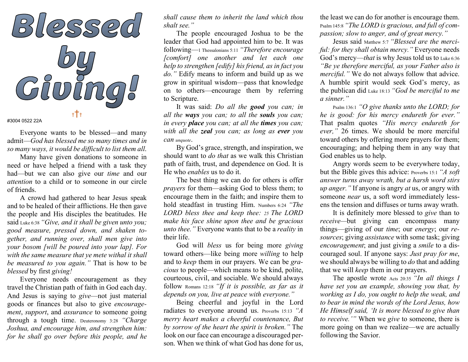

Everyone wants to be blessed—and many admit—God has blessed me so many times and in so many ways, it would be difficult to list them all.

Many have given donations to someone in need or have helped a friend with a task they had—but we can also give our *time* and our attention to a child or to someone in our circle of friends.

 A crowd had gathered to hear Jesus speak and to be healed of their afflictions. He then gave the people and His disciples the beatitudes. He said Luke 6:38 "Give, and it shall be given unto you; good measure, pressed down, and shaken together, and running over, shall men give into your bosom [will be poured into your lap]. For with the same measure that ye mete withal it shall be measured to you again." That is how to be blessed by first giving!

Everyone needs encouragement as they travel the Christian path of faith in God each day. And Jesus is saying to give—not just material goods or finances but also to give encouragement, support, and *assurance* to someone going through a tough time. Deuteronomy 3:28 "Charge Joshua, and encourage him, and strengthen him: for he shall go over before this people, and he

shall cause them to inherit the land which thou shalt see."

The people encouraged Joshua to be the leader that God had appointed him to be. It was following—1 Thessalonians 5:11 "Therefore encourage [comfort] one another and let each one help to strengthen [edify] his friend, as in fact you do." Edify means to inform and build up as we grow in spiritual wisdom—pass that knowledge on to others—encourage them by referring to Scripture.

It was said: Do all the **good** you can; in all the ways you can; to all the souls you can; in every **place** you can; at all the **times** you can; with all the **zeal** you can; as long as **ever** you Can unquote.

By God's grace, strength, and inspiration, we should want to do that as we walk this Christian path of faith, trust, and dependence on God. It is He who enables us to do it.

The best thing we can do for others is offer prayers for them—asking God to bless them; to encourage them in the faith; and inspire them to hold steadfast in trusting Him. Numbers 6:24 "The LORD bless thee and keep thee: 25 The LORD make his face shine upon thee and be gracious unto thee." Everyone wants that to be a *reality* in their life.

God will *bless* us for being more *giving* toward others—like being more willing to help and to keep them in our prayers. We can be gracious to people—which means to be kind, polite, courteous, civil, and sociable. We should always follow Romans 12:18 "If it is possible, as far as it depends on you, live at peace with everyone."

Being cheerful and joyful in the Lord radiates to everyone around us. Proverbs 15:13 "A merry heart makes a cheerful countenance, But by sorrow of the heart the spirit is broken." The look on our face can encourage a discouraged person. When we think of what God has done for us,

the least we can do for another is encourage them. Psalm 145:8 "The LORD is gracious, and full of compassion; slow to anger, and of great mercy."

Jesus said Matthew 5:7 "Blessed are the merciful: for they shall obtain mercy." Everyone needs God's mercy—that is why Jesus told us to Luke 6:36 "Be ye therefore merciful, as your Father also is merciful." We do not always follow that advice. A humble spirit would seek God's mercy, as the publican did Luke 18:13 "God be merciful to me a sinner."

Psalm 136:1 "O give thanks unto the LORD; for he is good: for his mercy endureth for ever." That psalm quotes "His mercy endureth for ever," 26 times. We should be more merciful toward others by offering more prayers for them; encouraging; and helping them in any way that God enables us to help.

 Angry words seem to be everywhere today, but the Bible gives this advice: Proverbs 15:1 "A soft answer turns away wrath, but a harsh word stirs up anger." If anyone is angry at us, or angry with someone near us, a soft word immediately lessens the tension and diffuses or turns away wrath.

 It is definitely more blessed to give than to receive—but giving can encompass many things—giving of our time; our energy; our resources; giving *assistance* with some task; giving encouragement; and just giving a smile to a discouraged soul. If anyone says: Just pray for me, we should always be willing to *do* that and adding that we will keep them in our prayers.

The apostle wrote Acts 20:35 "In all things I have set you an example, showing you that, by working as I do, you ought to help the weak, and to bear in mind the words of the Lord Jesus, how He Himself said, 'It is more blessed to give than to receive.'" When we give to someone, there is more going on than we realize—we are actually following the Savior.